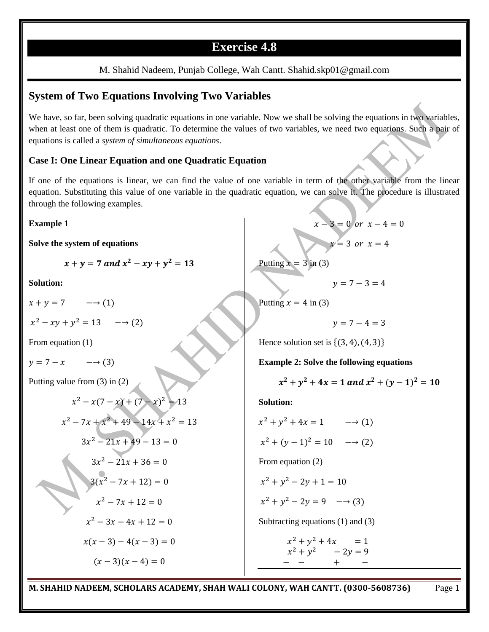## **Exercise 4.8**

#### M. Shahid Nadeem, Punjab College, Wah Cantt. Shahid.skp01@gmail.com

### **System of Two Equations Involving Two Variables**

We have, so far, been solving quadratic equations in one variable. Now we shall be solving the equations in two variables, when at least one of them is quadratic. To determine the values of two variables, we need two equations. Such a pair of equations is called a *system of simultaneous equations*.

#### **Case I: One Linear Equation and one Quadratic Equation**

If one of the equations is linear, we can find the value of one variable in term of the other variable from the linear equation. Substituting this value of one variable in the quadratic equation, we can solve it. The procedure is illustrated through the following examples.

#### **Example 1**

**Solve the system of equations**

 $x + y = 7$  and  $x^2 - xy + y^2$ 

**Solution:**

 $x + y = 7$   $\longrightarrow$  (1)

 $x^2 - xy + y^2$ 

From equation (1)

$$
y = 7 - x \qquad \longrightarrow (3)
$$

Putting value from (3) in (2)

$$
x^{2}-x(7-x)+(7-x)^{2}=13
$$
  
\n
$$
x^{2}-7x+x^{2}+49-14x+x^{2}=13
$$
  
\n
$$
3x^{2}-21x+49-13=0
$$
  
\n
$$
3x^{2}-21x+36=0
$$
  
\n
$$
3(x^{2}-7x+12)=0
$$
  
\n
$$
x^{2}-7x+12=0
$$
  
\n
$$
x^{2}-3x-4x+12=0
$$
  
\n
$$
x(x-3)-4(x-3)=0
$$
  
\n
$$
(x-3)(x-4)=0
$$

 $x-3=0$  or  $x-4=0$  $x=3$  or  $x=4$ 

Putting 
$$
x = 3
$$
 in (3)

Putting  $x = 4$  in (3)

 $v = 7 - 4 = 3$ 

 $v = 7 - 3 = 4$ 

Hence solution set is  $\{(3, 4), (4, 3)\}\$ 

**Example 2: Solve the following equations**

$$
x^2 + y^2 + 4x = 1 \ and \ x^2 + (y - 1)^2 = 10
$$

**Solution:**

 $x^2 + y^2$  $x^2 + (y-1)^2$ From equation (2)  $x^2 + y^2$  $x^2 + y^2$ Subtracting equations (1) and (3)  $x^2 + y^2$ 

 $x^2 + y^2$  $+$   $-$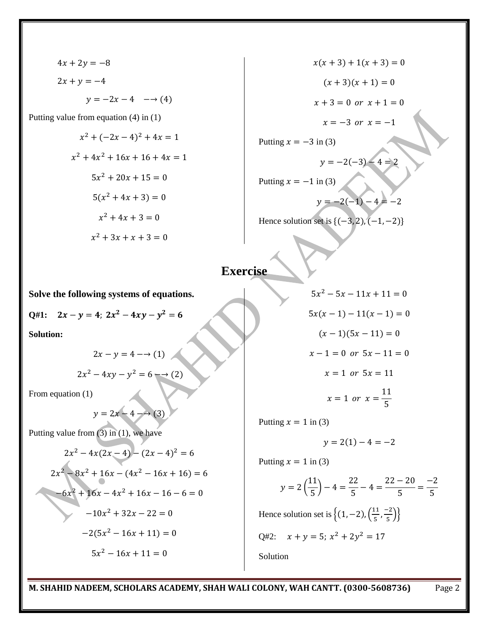$$
4x + 2y = -8
$$
  
\n
$$
2x + y = -4
$$
  
\n
$$
y = -2x - 4 \quad \longrightarrow (4)
$$
  
\nvalue from equation (4) in (1)  
\n
$$
x^{2} + (-2x - 4)^{2} + 4x = 1
$$
  
\n
$$
x^{2} + 4x^{2} + 16x + 16 + 4x = 1
$$
  
\n
$$
5x^{2} + 20x + 15 = 0
$$
  
\n
$$
5(x^{2} + 4x + 3) = 0
$$
  
\n
$$
x^{2} + 4x + 3 = 0
$$
  
\n
$$
x^{2} + 3x + x + 3 = 0
$$

$$
x(x + 3) + 1(x + 3) = 0
$$
  
\n
$$
(x + 3)(x + 1) = 0
$$
  
\n
$$
x + 3 = 0 \text{ or } x + 1 = 0
$$
  
\n
$$
x = -3 \text{ or } x = -1
$$
  
\nPutting  $x = -3$  in (3)  
\n
$$
y = -2(-3) - 4 = 2
$$
  
\nPutting  $x = -1$  in (3)  
\n
$$
y = -2(-1) - 4 = -2
$$
  
\nHence solution set is {(-3, 2), (-1, -2)}

# **Exercise**

**Solve the following systems of equations.**

$$
Q\#1: \quad 2x - y = 4; \; 2x^2 - 4xy - y^2 = 6
$$

**Solution:**

Putting

$$
2x - y = 4 \longrightarrow (1)
$$

$$
2x^2 - 4xy - y^2 = 6 \longrightarrow (2)
$$

From equation (1)

$$
y = 2x - 4 \longrightarrow (3)
$$

Putting value from  $(3)$  in  $(1)$ , we have

$$
2x2 - 4x(2x - 4) - (2x - 4)2 = 6
$$
  

$$
2x2 - 8x2 + 16x - (4x2 - 16x + 16) = 6
$$
  

$$
-6x2 + 16x - 4x2 + 16x - 16 - 6 = 0
$$
  

$$
-10x2 + 32x - 22 = 0
$$
  

$$
-2(5x2 - 16x + 11) = 0
$$
  

$$
5x2 - 16x + 11 = 0
$$

$$
5x2 - 5x - 11x + 11 = 0
$$
  
\n
$$
5x(x - 1) - 11(x - 1) = 0
$$
  
\n
$$
(x - 1)(5x - 11) = 0
$$
  
\n
$$
x - 1 = 0 \text{ or } 5x - 11 = 0
$$
  
\n
$$
x = 1 \text{ or } 5x = 11
$$
  
\n
$$
x = 1 \text{ or } x = \frac{11}{5}
$$

Putting  $x = 1$  in (3)

$$
y = 2(1) - 4 = -2
$$

Putting  $x = 1$  in (3)

$$
y = 2\left(\frac{11}{5}\right) - 4 = \frac{22}{5} - 4 = \frac{22 - 20}{5} = \frac{-2}{5}
$$

Hence solution set is  $\{(1, -2), (\frac{1}{2})\}$  $\frac{11}{5}, \frac{-}{5}$  $\frac{22}{5}$ }}

Q#2:  $x + y = 5$ ;  $x^2 + 2y^2$ Solution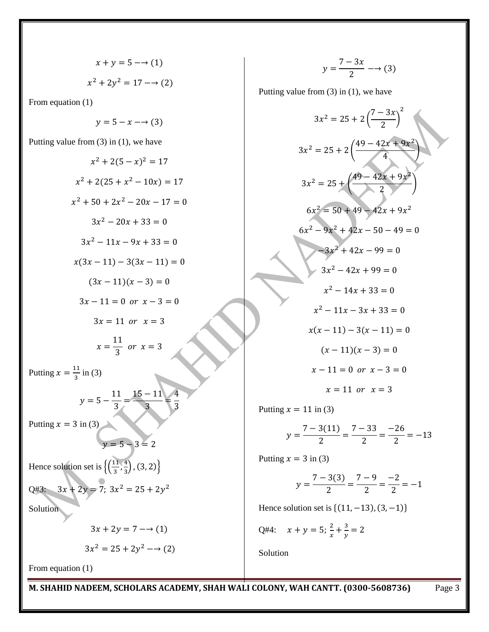$$
x + y = 5 \rightarrow (1)
$$

$$
x^2 + 2y^2 = 17 \rightarrow (2)
$$

From equation (1)

$$
y = 5 - x \longrightarrow (3)
$$

Putting value from (3) in (1), we have

$$
x^{2} + 2(5 - x)^{2} = 17
$$
\n
$$
x^{2} + 2(25 + x^{2} - 10x) = 17
$$
\n
$$
x^{2} + 50 + 2x^{2} - 20x - 17 = 0
$$
\n
$$
3x^{2} - 20x + 33 = 0
$$
\n
$$
3x^{2} - 11x - 9x + 33 = 0
$$
\n
$$
x(3x - 11) - 3(3x - 11) = 0
$$
\n
$$
(3x - 11)(x - 3) = 0
$$
\n
$$
3x - 11 = 0 \text{ or } x - 3 = 0
$$
\n
$$
3x = 11 \text{ or } x = 3
$$
\n
$$
x = \frac{11}{3} \text{ or } x = 3
$$
\nPutting  $x = \frac{11}{3}$  in (3)\n
$$
y = 5 - \frac{11}{3} = \frac{15 - 11}{3}
$$
\nPutting  $x = 3$  in (3)\n
$$
y = 5 - 3 = 2
$$
\nHence solution set is 
$$
\left\{ \left( \frac{11}{3}, \frac{4}{3} \right), (3, 2) \right\}
$$
\n
$$
Q\#3: \quad 3x + 2y = 7; \quad 3x^{2} = 25 + 2y^{2}
$$
\nSolution\n
$$
3x + 2y = 7 - 3(1)
$$
\n
$$
3x^{2} = 25 + 2y^{2} \rightarrow (2)
$$

 $\mathcal{Y}$ 7  $\frac{3\pi}{2}$  –

Putting value from (3) in (1), we have

$$
3x^{2} = 25 + 2\left(\frac{7 - 3x}{2}\right)^{2}
$$
  
\n
$$
3x^{2} = 25 + 2\left(\frac{49 - 42x + 9x^{2}}{4}\right)
$$
  
\n
$$
3x^{2} = 25 + \left(\frac{49 - 42x + 9x^{2}}{2}\right)
$$
  
\n
$$
6x^{2} = 50 + 49 - 42x + 9x^{2}
$$
  
\n
$$
6x^{2} - 9x^{2} + 42x - 50 - 49 = 0
$$
  
\n
$$
3x^{2} + 42x - 99 = 0
$$
  
\n
$$
3x^{2} - 42x + 99 = 0
$$
  
\n
$$
x^{2} - 14x + 33 = 0
$$
  
\n
$$
x^{2} - 11x - 3x + 33 = 0
$$
  
\n
$$
x(x - 11) - 3(x - 11) = 0
$$
  
\n
$$
(x - 11)(x - 3) = 0
$$
  
\n
$$
x - 11 = 0 \text{ or } x - 3 = 0
$$
  
\n
$$
x = 11 \text{ or } x = 3
$$

Putting  $x = 11$  in (3)

$$
y = \frac{7 - 3(11)}{2} = \frac{7 - 33}{2} = \frac{-26}{2} = -13
$$

Putting  $x = 3$  in (3)

$$
y = \frac{7 - 3(3)}{2} = \frac{7 - 9}{2} = \frac{-2}{2} = -1
$$

Hence solution set is  $\{(11, -13), (3, -1)\}\$ 

Q#4: 
$$
x + y = 5; \frac{2}{x} + \frac{3}{y} = 2
$$

Solution

From equation (1)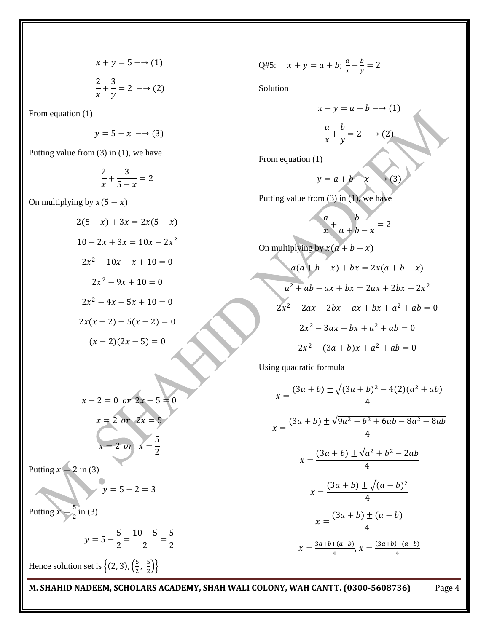$$
x + y = 5 \rightarrow (1)
$$

$$
\frac{2}{x} + \frac{3}{y} = 2 \rightarrow (2)
$$

From equation (1)

$$
y = 5 - x \longrightarrow (3)
$$

Putting value from (3) in (1), we have

$$
\frac{2}{x} + \frac{3}{5-x} = 2
$$

On multiplying by  $x(5-x)$ 

$$
2(5 - x) + 3x = 2x(5 - x)
$$
  
\n
$$
10 - 2x + 3x = 10x - 2x^{2}
$$
  
\n
$$
2x^{2} - 10x + x + 10 = 0
$$
  
\n
$$
2x^{2} - 9x + 10 = 0
$$
  
\n
$$
2x^{2} - 4x - 5x + 10 = 0
$$
  
\n
$$
2x(x - 2) - 5(x - 2) = 0
$$
  
\n
$$
(x - 2)(2x - 5) = 0
$$

$$
x - 2 = 0 \text{ or } 2x - 5 = 0
$$
  

$$
x = 2 \text{ or } 2x = 5
$$
  

$$
x = 2 \text{ or } x = \frac{5}{2}
$$

Putting  $x = 2$  in (3)

$$
=5-2=3
$$

 $\mathcal{V}$ 

Putting  $x=\frac{5}{3}$  $\frac{5}{2}$  in (3)

$$
y = 5 - \frac{5}{2} = \frac{10 - 5}{2} = \frac{5}{2}
$$

Hence solution set is  $\left\{ (2,3), \frac{5}{2} \right\}$  $\frac{5}{2}$ ,  $\frac{5}{2}$  $\frac{5}{2}$ }

Q#5: 
$$
x + y = a + b
$$
;  $\frac{a}{x} + \frac{b}{y} = 2$ 

Solution

$$
x + y = a + b \rightarrow (1)
$$

$$
\frac{a}{x} + \frac{b}{y} = 2 \rightarrow (2)
$$

From equation (1)

$$
y = a + b - x \longrightarrow (3)
$$

Putting value from (3) in (1), we have

$$
\frac{a}{x} + \frac{b}{a+b-x} = 2
$$

On multiplying by 
$$
x(a + b - x)
$$
  
\n $a(a + b - x) + bx = 2x(a + b - x)$   
\n $a^2 + ab - ax + bx = 2ax + 2bx - 2x^2$   
\n $2x^2 - 2ax - 2bx - ax + bx + a^2 + ab = 0$   
\n $2x^2 - 3ax - bx + a^2 + ab = 0$   
\n $2x^2 - (3a + b)x + a^2 + ab = 0$ 

Using quadratic formula

$$
x = \frac{(3a+b) \pm \sqrt{(3a+b)^2 - 4(2)(a^2 + ab)}}{4}
$$
  

$$
x = \frac{(3a+b) \pm \sqrt{9a^2 + b^2 + 6ab - 8a^2 - 8ab}}{4}
$$
  

$$
x = \frac{(3a+b) \pm \sqrt{a^2 + b^2 - 2ab}}{4}
$$
  

$$
x = \frac{(3a+b) \pm \sqrt{(a-b)^2}}{4}
$$
  

$$
x = \frac{(3a+b) \pm (a-b)}{4}
$$
  

$$
x = \frac{3a+b+(a-b)}{4}, x = \frac{(3a+b)-(a-b)}{4}
$$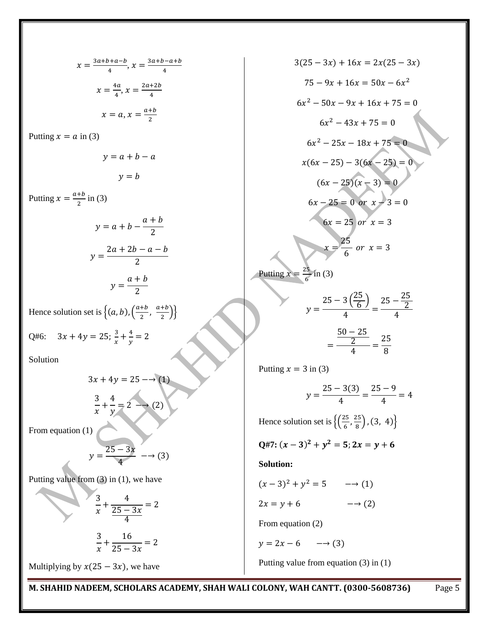$$
x = \frac{3a+b+a-b}{4}, x = \frac{3a+b-a+b}{4}
$$
  
\n
$$
x = \frac{4a}{4}, x = \frac{2a+2b}{4}
$$
  
\n
$$
x = a, x = \frac{a+b}{2}
$$
  
\nPutting  $x = a$  in (3)  
\n
$$
y = a + b - a
$$
  
\n
$$
y = b
$$
  
\nPutting  $x = \frac{a+b}{2}$  in (3)  
\n
$$
y = a + b - \frac{a+b}{2}
$$
  
\n
$$
y = \frac{2a+2b-a-b}{2}
$$
  
\n
$$
y = \frac{a+b}{2}
$$
  
\nHence solution set is  $\{(a, b), (\frac{a+b}{2}, \frac{a+b}{2})\}$   
\nQ#6:  $3x + 4y = 25; \frac{3}{x} + \frac{4}{y} = 2$   
\nSolution  
\n
$$
3x + 4y = 25 \rightarrow (1)
$$
  
\n
$$
\frac{3}{x} + \frac{4}{y} = 2 \rightarrow (2)
$$
  
\nFrom equation (1)  
\n
$$
y = \frac{25-3x}{4} \rightarrow (3)
$$
  
\nPutting value from (3) in (1), we have  
\n
$$
\frac{3}{x} + \frac{4}{25-3x} = 2
$$
  
\n
$$
\frac{3}{x} + \frac{16}{25-3x} = 2
$$
  
\nMultiplying by  $x(25-3x)$ , we have

$$
3(25-3x) + 16x = 2x(25-3x)
$$
  
\n
$$
75-9x + 16x = 50x - 6x^2
$$
  
\n
$$
6x^2 - 50x - 9x + 16x + 75 = 0
$$
  
\n
$$
6x^2 - 43x + 75 = 0
$$
  
\n
$$
6x^2 - 25x - 18x + 75 = 0
$$
  
\n
$$
x(6x - 25) - 3(6x - 25) = 0
$$
  
\n
$$
(6x - 25)(x - 3) = 0
$$
  
\n
$$
6x - 25 = 0 \text{ or } x \rightarrow 3 = 0
$$
  
\n
$$
6x - 25 = 0 \text{ or } x = 3
$$
  
\nPutting  $x = \frac{25}{6}$  in (3)  
\n
$$
y = \frac{25 - 3(\frac{25}{6})}{4} = \frac{25 - \frac{25}{2}}{4}
$$
  
\n
$$
= \frac{\frac{50 - 25}{2}}{4} = \frac{25}{8}
$$
  
\nPutting  $x = 3$  in (3)  
\n
$$
y = \frac{25 - 3(3)}{4} = \frac{25 - 9}{4} = 4
$$
  
\nHence solution set is { $(\frac{25}{6}, \frac{25}{8}), (3, 4)$ }  
\n $Q\#7: (x - 3)^2 + y^2 = 5; 2x = y + 6$   
\nSolution:  
\n $(x - 3)^2 + y^2 = 5 \rightarrow (1)$   
\n $2x = y + 6 \rightarrow (2)$   
\nFrom equation (2)  
\n $y = 2x - 6 \rightarrow (3)$   
\nPutting value from equation (3) in (1)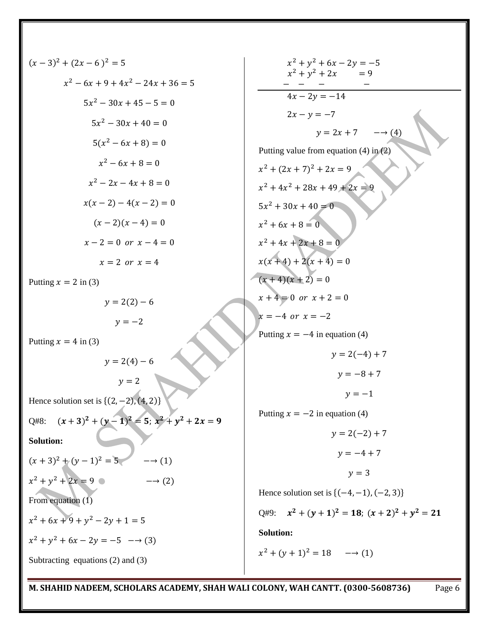$$
(x-3)^2 + (2x-6)^2 = 5
$$
  
\n
$$
x^2 - 6x + 9 + 4x^2 - 24x + 36 = 5
$$
  
\n
$$
5x^2 - 30x + 45 - 5 = 0
$$
  
\n
$$
5x^2 - 30x + 40 = 0
$$
  
\n
$$
5(x^2 - 6x + 8) = 0
$$
  
\n
$$
x^2 - 6x + 8 = 0
$$
  
\n
$$
x^2 - 2x - 4x + 8 = 0
$$
  
\n
$$
x(x-2) - 4(x-2) = 0
$$
  
\n
$$
(x-2)(x-4) = 0
$$
  
\n
$$
x-2 = 0 \text{ or } x-4 = 0
$$
  
\n
$$
x = 2 \text{ or } x = 4
$$
  
\nPutting  $x = 2$  in (3)  
\n
$$
y = 2(2) - 6
$$
  
\n
$$
y = 2
$$
  
\nPutting  $x = 4$  in (3)  
\n
$$
y = 2(4) - 6
$$
  
\n
$$
y = 2
$$
  
\nHence solution set is {(2, -2), (4, 2)}  
\nQ#8:  $(x + 3)^2 + (y - 1)^2 = 5$ ;  $x^2 + y^2 + 2x = 9$   
\nSolution:  
\n
$$
(x + 3)^2 + (y - 1)^2 = 5
$$
  $\longrightarrow$  (1)  
\n
$$
x^2 + y^2 + 2x = 9
$$
  $\longrightarrow$  (2)  
\nFrom equation (1)  
\n
$$
x^2 + 6x + 9 + y^2 - 2y + 1 = 5
$$
  
\n
$$
x^2 + y^2 + 6x - 2y = -5 \longrightarrow
$$
 (3)  
\nSubtracting equations (2) and (3)

 $x^2 + y^2$  $x^2 + y^2$  $\frac{- - -}{4x - 2y = -14}$  $2x - y = -7$  $y = 2x + 7$  $\rightarrow$  (4) Putting value from equation (4) in (2)  $x^2 + (2x + 7)^2$  $x^2 + 4x^2$  $5x^2$  $x^2$  $x^2$  $x(x+4) + 2(x+4) = 0$  $(x+4)(x+2) = 0$  $x + 4 = 0$  or  $x + 2 = 0$  $x = -4$  or  $x = -2$ Putting  $x = -4$  in equation (4)  $y = 2(-4) + 7$  $y = -8 + 7$  $y=-1$ Putting  $x = -2$  in equation (4)  $y = 2(-2) + 7$  $y = -4 + 7$  $y = 3$ Hence solution set is  ${(-4, -1), (-2, 3)}$ Q#9:  $x^2 + (y+1)^2 = 18$ ;  $(x+2)^2 + y^2$ **Solution:**   $x^2 + (y+1)^2$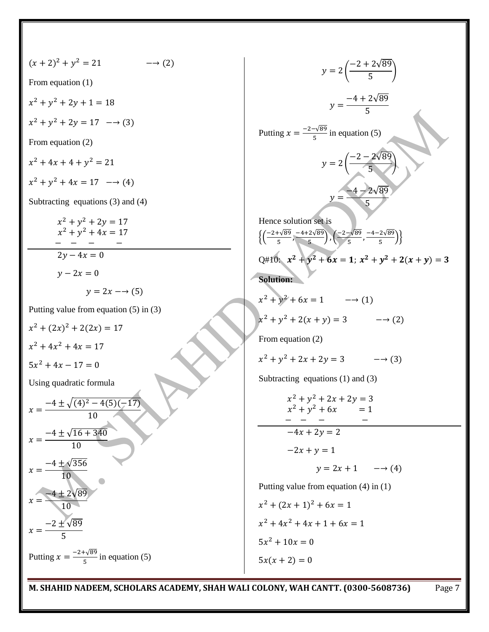√ ( ) From equation (1) √ √ Putting in equation (5) From equation (2) √ ( ) √ Subtracting equations (3) and (4) Hence solution set is √ √ √ √ {( ) ( )} Q#10: **Solution:**  Putting value from equation (5) in (3) From equation (2) Subtracting equations (1) and (3) Using quadratic formula √ √ √ Putting value from equation (4) in (1) √ √ √ Putting in equation (5)